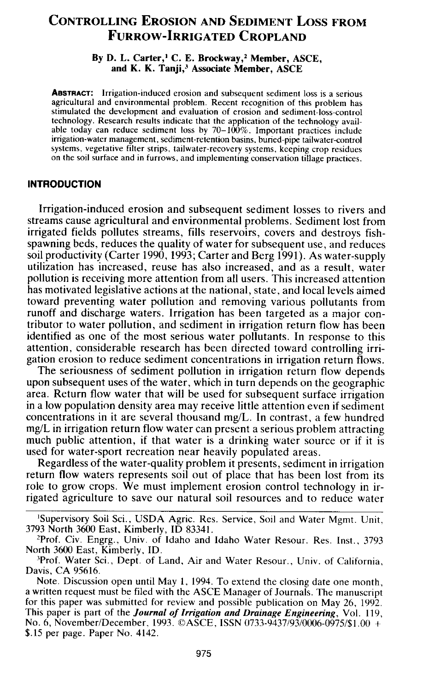# CONTROLLING EROSION AND SEDIMENT Loss FROM FURROW-IRRIGATED CROPLAND

#### **By D. L. Carter,' C. E. Brockway,' Member, ASCE, and K. K. Tanji, 3 Associate Member, ASCE**

ABSTRACT: Irrigation-induced erosion and subsequent sediment loss is a serious agricultural and environmental problem. Recent recognition of this problem has stimulated the development and evaluation of erosion and sediment-loss-control technology. Research results indicate that the application of the technology available today can reduce sediment loss by 70-100%. Important practices include irrigation-water management, sediment-retention basins, buried-pipe tailwater-control systems, vegetative filter strips, tailwater-recovery systems, keeping crop residues on the soil surface and in furrows, and implementing conservation tillage practices.

### **INTRODUCTION**

Irrigation-induced erosion and subsequent sediment losses to rivers and streams cause agricultural and environmental problems. Sediment lost from irrigated fields pollutes streams, fills reservoirs, covers and destroys fishspawning beds, reduces the quality of water for subsequent use, and reduces soil productivity (Carter 1990, 1993; Carter and Berg 1991). As water-supply utilization has increased, reuse has also increased, and as a result, water pollution is receiving more attention from all users. This increased attention has motivated legislative actions at the national, state, and local levels aimed toward preventing water pollution and removing various pollutants from runoff and discharge waters. Irrigation has been targeted as a major contributor to water pollution, and sediment in irrigation return flow has been identified as one of the most serious water pollutants. In response to this attention, considerable research has been directed toward controlling irrigation erosion to reduce sediment concentrations in irrigation return flows.

The seriousness of sediment pollution in irrigation return flow depends upon subsequent uses of the water, which in turn depends on the geographic area. Return flow water that will be used for subsequent surface irrigation in a low population density area may receive little attention even if sediment concentrations in it are several thousand mg/L. In contrast, a few hundred mg/L in irrigation return flow water can present a serious problem attracting much public attention, if that water is a drinking water source or if it is used for water-sport recreation near heavily populated areas.

Regardless of the water-quality problem it presents, sediment in irrigation return flow waters represents soil out of place that has been lost from its role to grow crops. We must implement erosion control technology in irrigated agriculture to save our natural soil resources and to reduce water

Note. Discussion open until May 1, 1994. To extend the closing date one month, a written request must be filed with the ASCE Manager of Journals. The manuscript for this paper was submitted for review and possible publication on May 26, 1992. This paper is part of the *Journal of Irrigation and Drainage Engineering*, Vol. 119, No. 6, November/December, 1993. ©ASCE, ISSN 0733-9437/93/0006-0975/\$1.00 + \$.15 per page. Paper No. 4142.

<sup>&#</sup>x27;Supervisory Soil Sci., USDA Agric. Res. Service, Soil and Water Mgmt. Unit, 3793 North 3600 East, Kimberly, ID 83341.

<sup>&#</sup>x27;Prof. Civ. Engrg., Univ. of Idaho and Idaho Water Resour. Res. Inst., 3793 North 3600 East, Kimberly, ID.

<sup>3</sup>Prof. Water Sci., Dept. of Land, Air and Water Resour., Univ. of California, Davis, CA 95616.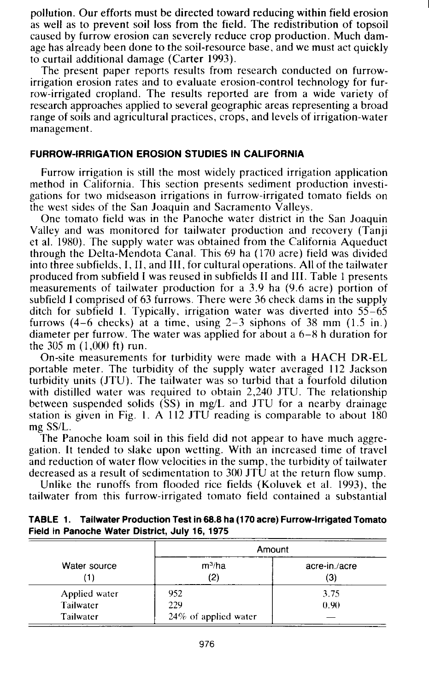pollution. Our efforts must be directed toward reducing within field erosion as well as to prevent soil loss from the field. The redistribution of topsoil caused by furrow erosion can severely reduce crop production. Much damage has already been done to the soil-resource base, and we must act quickly to curtail additional damage (Carter 1993).

The present paper reports results from research conducted on furrowirrigation erosion rates and to evaluate erosion-control technology for furrow-irrigated cropland. The results reported are from a wide variety of research approaches applied to several geographic areas representing a broad range of soils and agricultural practices, crops, and levels of irrigation-water management.

# **FURROW-IRRIGATION EROSION STUDIES IN CALIFORNIA**

Furrow irrigation is still the most widely practiced irrigation application method in California. This section presents sediment production investigations for two midseason irrigations in furrow-irrigated tomato fields on the west sides of the San Joaquin and Sacramento Valleys.

One tomato field was in the Panoche water district in the San Joaquin Valley and was monitored for tailwater production and recovery (Tanji et al. 1980). The supply water was obtained from the California Aqueduct through the Delta-Mendota Canal. This 69 ha (170 acre) field was divided into three subfields, I, II, and III, for cultural operations. All of the tailwater produced from subfield I was reused in subfields II and III. Table 1 presents measurements of tailwater production for a 3.9 ha (9.6 acre) portion of subfield I comprised of 63 furrows. There were 36 check dams in the supply ditch for subfield I. Typically, irrigation water was diverted into 55-65 furrows  $(4-6$  checks) at a time, using  $2-3$  siphons of 38 mm  $(1.5 \text{ in.})$ diameter per furrow. The water was applied for about a 6-8 h duration for the 305 m (1,000 ft) run.

On-site measurements for turbidity were made with a HACH DR-EL portable meter. The turbidity of the supply water averaged 112 Jackson turbidity units (JTU). The tailwater was so turbid that a fourfold dilution with distilled water was required to obtain 2,240 JTU. The relationship between suspended solids (SS) in mg/L and JTU for a nearby drainage station is given in Fig. 1. A 112 JTU reading is comparable to about 180 mg SS/L.

The Panoche loam soil in this field did not appear to have much aggregation. It tended to slake upon wetting. With an increased time of travel and reduction of water flow velocities in the sump, the turbidity of tailwater decreased as a result of sedimentation to 300 JTU at the return flow sump.

Unlike the runoffs from flooded rice fields (Koluvek et al. 1993), the tailwater from this furrow-irrigated tomato field contained a substantial

| TABLE 1. |                                                | Tailwater Production Test in 68.8 ha (170 acre) Furrow-Irrigated Tomato |
|----------|------------------------------------------------|-------------------------------------------------------------------------|
|          | Field in Panoche Water District, July 16, 1975 |                                                                         |

|                                         | Amount                             |                      |  |
|-----------------------------------------|------------------------------------|----------------------|--|
| Water source<br>(1)                     | $m^3/ha$<br>(2)                    | acre-in./acre<br>(3) |  |
| Applied water<br>Tailwater<br>Tailwater | 952<br>229<br>24% of applied water | 3.75<br>0.90         |  |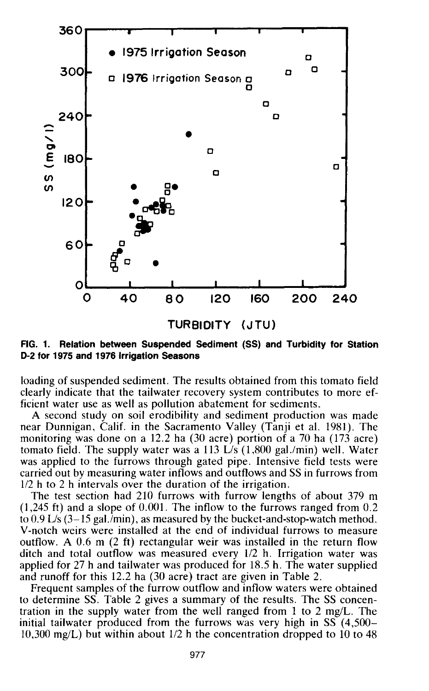

**FIG. 1. Relation between Suspended Sediment (SS) and Turbidity for Station D-2 for 1975 and 1976 Irrigation Seasons**

loading of suspended sediment. The results obtained from this tomato field clearly indicate that the tailwater recovery system contributes to more efficient water use as well as pollution abatement for sediments.

A second study on soil erodibility and sediment production was made near Dunnigan, Calif. in the Sacramento Valley (Tanji et al. 1981). The monitoring was done on a 12.2 ha (30 acre) portion of a 70 ha (173 acre) tomato field. The supply water was a 113  $\dot{\text{L}}/\text{s}$  (1,800 gal./min) well. Water was applied to the furrows through gated pipe. Intensive field tests were carried out by measuring water inflows and outflows and SS in furrows from 1/2 h to 2 h intervals over the duration of the irrigation.

The test section had 210 furrows with furrow lengths of about 379 m (1,245 ft) and a slope of 0.001. The inflow to the furrows ranged from 0.2 to  $0.9$  L/s  $(3-15$  gal./min), as measured by the bucket-and-stop-watch method. V-notch weirs were installed at the end of individual furrows to measure outflow. A 0.6 m (2 ft) rectangular weir was installed in the return flow ditch and total outflow was measured every 1/2 h. Irrigation water was applied for 27 h and tailwater was produced for 18.5 h. The water supplied and runoff for this 12.2 ha (30 acre) tract are given in Table 2.

Frequent samples of the furrow outflow and inflow waters were obtained to determine SS. Table 2 gives a summary of the results. The SS concentration in the supply water from the well ranged from 1 to 2 mg/L. The initial tailwater produced from the furrows was very high in  $SS(4.500 -$ 10,300 mg/L) but within about 1/2 h the concentration dropped to 10 to 48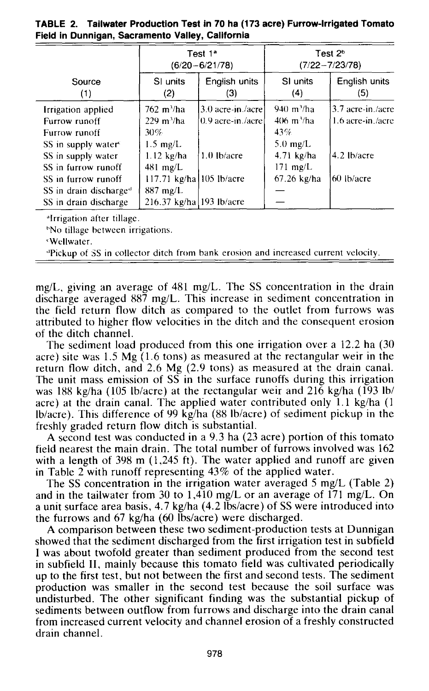|                                                                                    | Test 1ª<br>$(6/20 - 6/21/78)$                                      |                                         | Test $2b$<br>$(7/22 - 7/23/78)$                                        |                                        |
|------------------------------------------------------------------------------------|--------------------------------------------------------------------|-----------------------------------------|------------------------------------------------------------------------|----------------------------------------|
| Source<br>(1)                                                                      | SI units<br>(2)                                                    | English units<br>(3)                    | SI units<br>(4)                                                        | English units<br>(5)                   |
| Irrigation applied<br>Furrow runoff<br>Furrow runoff                               | $762 \text{ m}^3/\text{ha}$<br>$229 \text{ m}^3/\text{ha}$<br>30%  | 3.0 acre-in /acre]<br>0.9 acre-in /acre | $940 \text{ m}^3/\text{ha}$<br>$406 \text{ m}$ <sup>3</sup> /ha<br>43% | 3.7 acre-in./acre<br>1.6 acre-in./acre |
| SS in supply water <sup>e</sup><br>SS in supply water<br>SS in furrow runoff       | $1.5 \text{ mg/L}$<br>$1.12$ kg/ha<br>$481$ mg/L                   | 1.0 lb/acre                             | $5.0$ mg/L<br>$4.71$ kg/ha<br>$171 \text{ mg/L}$                       | $4.2$ lb/acre                          |
| SS in furrow runoff<br>SS in drain discharge <sup>d</sup><br>SS in drain discharge | 117.71 kg/ha 105 lb/acre<br>$887$ mg/L<br>216.37 kg/ha 193 lb/acre |                                         | $67.26$ kg/ha                                                          | 60 lb/acre                             |

# **TABLE 2. Tailwater Production Test in 70 ha (173 acre) Furrow-Irrigated Tomato Field in Dunnigan, Sacramento Valley, California**

"Irrigation after tillage.

"No tillage between irrigations.

'Meltwater.

"Pickup of SS in collector ditch from hank erosion and increased current velocity.

mg/L, giving an average of 481 mg/L. The SS concentration in the drain discharge averaged 887 mg/L. This increase in sediment concentration in the field return flow ditch as compared to the outlet from furrows was attributed to higher flow velocities in the ditch and the consequent erosion of the ditch channel.

The sediment load produced from this one irrigation over a 12.2 ha (30 acre) site was 1.5 Mg  $(1.6 \text{ tons})$  as measured at the rectangular weir in the return flow ditch, and  $2.6 \text{ Mg}$  (2.9 tons) as measured at the drain canal. The unit mass emission of SS in the surface runoffs during this irrigation was 188 kg/ha (105 lb/acre) at the rectangular weir and 216 kg/ha (193 lb/ acre) at the drain canal. The applied water contributed only 1.1 kg/ha (1 lb/acre). This difference of 99 kg/ha (88 lb/acre) of sediment pickup in the freshly graded return flow ditch is substantial.

A second test was conducted in a 9.3 ha (23 acre) portion of this tomato field nearest the main drain. The total number of furrows involved was 162 with a length of 398 m (1,245 ft). The water applied and runoff are given in Table 2 with runoff representing 43% of the applied water.

The SS concentration in the irrigation water averaged 5 mg/L (Table 2) and in the tailwater from 30 to 1,410 mg/L or an average of 171 mg/L. On a unit surface area basis, 4.7 kg/ha (4.2 lbs/acre) of SS were introduced into the furrows and 67 kg/ha (60 lbs/acre) were discharged.

A comparison between these two sediment-production tests at Dunnigan showed that the sediment discharged from the first irrigation test in subfield I was about twofold greater than sediment produced from the second test in subfield II, mainly because this tomato field was cultivated periodically up to the first test, but not between the first and second tests. The sediment production was smaller in the second test because the soil surface was undisturbed. The other significant finding was the substantial pickup of sediments between outflow from furrows and discharge into the drain canal from increased current velocity and channel erosion of a freshly constructed drain channel.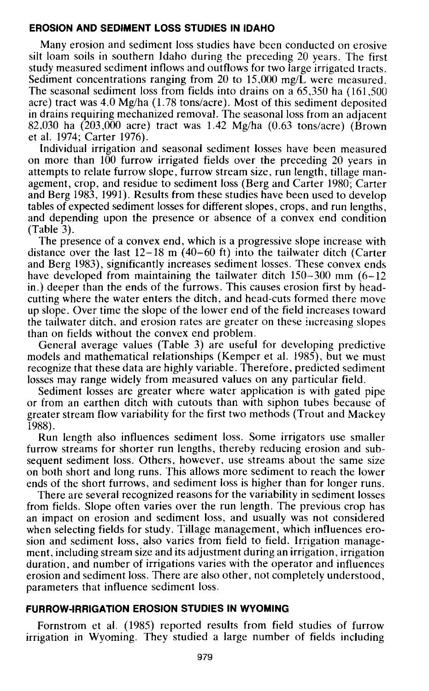# **EROSION AND SEDIMENT LOSS STUDIES IN IDAHO**

Many erosion and sediment loss studies have been conducted on erosive silt loam soils in southern Idaho during the preceding 20 years. The first study measured sediment inflows and outflows for two large irrigated tracts. Sediment concentrations ranging from 20 to 15,000 mg/ $\tilde{L}$  were measured. The seasonal sediment loss from fields into drains on a  $65,350$  ha  $(161,500)$ acre) tract was 4.0 Mg/ha (1.78 tons/acre). Most of this sediment deposited in drains requiring mechanized removal. The seasonal loss from an adjacent 82,030 ha (203,000 acre) tract was 1.42 Mg/ha (0.63 tons/acre) (Brown et al. 1974; Carter 1976).

Individual irrigation and seasonal sediment losses have been measured on more than 100 furrow irrigated fields over the preceding 20 years in attempts to relate furrow slope, furrow stream size, run length, tillage management, crop, and residue to sediment loss (Berg and Carter 1980; Carter and Berg 1983, 1991). Results from these studies have been used to develop tables of expected sediment losses for different slopes, crops, and run lengths, and depending upon the presence or absence of a convex end condition (Table 3).

The presence of a convex end, which is a progressive slope increase with distance over the last  $12-18$  m  $(40-60)$  ft) into the tailwater ditch (Carter and Berg 1983), significantly increases sediment losses. These convex ends have developed from maintaining the tailwater ditch  $150-300$  mm  $(6-12)$ in.) deeper than the ends of the furrows. This causes erosion first by headcutting where the water enters the ditch, and head-cuts formed there move up slope. Over time the slope of the lower end of the field increases toward the tailwater ditch, and erosion rates are greater on these increasing slopes than on fields without the convex end problem.

General average values (Table 3) are useful for developing predictive models and mathematical relationships (Kemper et al. 1985), but we must recognize that these data are highly variable. Therefore, predicted sediment losses may range widely from measured values on any particular field.

Sediment losses are greater where water application is with gated pipe or from an earthen ditch with cutouts than with siphon tubes because of greater stream flow variability for the first two methods (Trout and Mackey 1988).

Run length also influences sediment loss. Some irrigators use smaller furrow streams for shorter run lengths, thereby reducing erosion and subsequent sediment loss. Others, however, use streams about the same size on both short and long runs. This allows more sediment to reach the lower ends of the short furrows, and sediment loss is higher than for longer runs.

There are several recognized reasons for the variability in sediment losses from fields. Slope often varies over the run length. The previous crop has an impact on erosion and sediment loss, and usually was not considered when selecting fields for study. Tillage management, which influences erosion and sediment loss, also varies from field to field. Irrigation management, including stream size and its adjustment during an irrigation, irrigation duration, and number of irrigations varies with the operator and influences erosion and sediment loss. There are also other, not completely understood, parameters that influence sediment loss.

# **FURROW-IRRIGATION EROSION STUDIES IN WYOMING**

Fornstrom et al. (1985) reported results from field studies of furrow irrigation in Wyoming. They studied a large number of fields including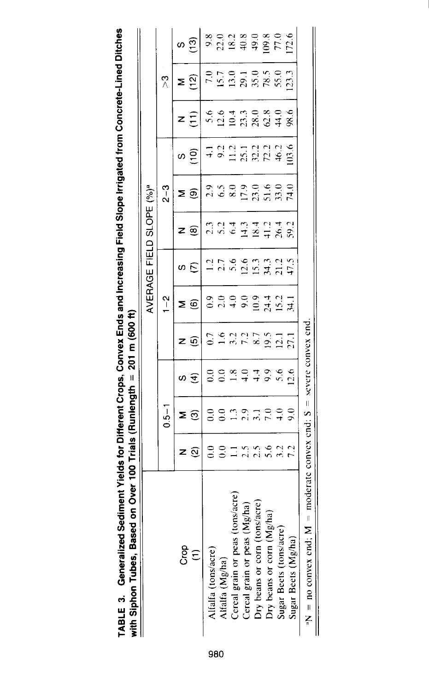**co .c** ō rete: O E 0 .<br>پ ە<br>50 asing Fie **C** Ē ë ą ö.<br>O Ē <u>5</u> Ö Ē Ā c?) **2** N 1. n1 ) C **eh** -J 03 F Oco E ສ 11 a)C C oc To I-O O δ<br>6<br>5 co .o th Siphon

|                                                                     |           |                          |                |      |                           |                    | AVERAGE FIELD SLOPE (%) <sup>ª</sup> |               |               |   |                                                                             |                                               |
|---------------------------------------------------------------------|-----------|--------------------------|----------------|------|---------------------------|--------------------|--------------------------------------|---------------|---------------|---|-----------------------------------------------------------------------------|-----------------------------------------------|
|                                                                     |           | $0.5 - 1$                |                |      | $\frac{2}{1}$             |                    |                                      | $2 - 3$       |               |   | $\frac{1}{2}$                                                               |                                               |
| င်<br>၁                                                             |           |                          |                |      |                           |                    |                                      |               |               |   |                                                                             |                                               |
|                                                                     | ହ         | $\widehat{\mathfrak{S}}$ | o <del>σ</del> | z ගි | $\widehat{\mathbf{e}}$    | $\widehat{\omega}$ | z ®                                  | ම             | ဖ ခဲ့         | Ξ | ≥ ⊵ີ                                                                        | ဖ ခြု                                         |
| Alfalfa (tons/acre)                                                 |           |                          |                |      |                           |                    |                                      |               |               |   | $\begin{array}{c} 7.0 \\ 15.7 \\ 13.0 \\ 23.0 \\ 8.6 \\ 0.3 \\ \end{array}$ | 9.8<br>0.21 3.32 3.9<br>0.94 3.9 3.9 17 17 16 |
| Alfalfa (Mg/ha)                                                     |           | $\frac{0}{0}$ .0         |                |      |                           |                    |                                      |               |               |   |                                                                             |                                               |
| Cereal grain or peas (tons/acre                                     |           |                          |                |      |                           |                    |                                      |               |               |   |                                                                             |                                               |
| Cercal grain or peas (Mg/ha)                                        |           |                          |                |      |                           |                    |                                      |               |               |   |                                                                             |                                               |
| (tons/acre)<br>Dry beans or corn                                    | 0.7599997 | 13070                    | 0.080499866    |      | $0.0000111$<br>$0.000111$ | 1.7596999197777    |                                      | 2.99990699777 | 13.2232243243 |   |                                                                             |                                               |
| $\cdot$ (Mg/ha)<br>Dry beans or corn                                |           |                          |                |      |                           |                    |                                      |               |               |   |                                                                             |                                               |
| 'acre)<br>Sugar Beets (tons/                                        |           | $\frac{1}{2}$            |                |      |                           |                    |                                      |               |               |   |                                                                             |                                               |
| Sugar Beets (Mg/ha)                                                 |           |                          |                |      |                           |                    |                                      |               |               |   |                                                                             |                                               |
| $N = no$ convex end; M = moderate convex end; S = severe convex end |           |                          |                |      |                           |                    |                                      |               |               |   |                                                                             |                                               |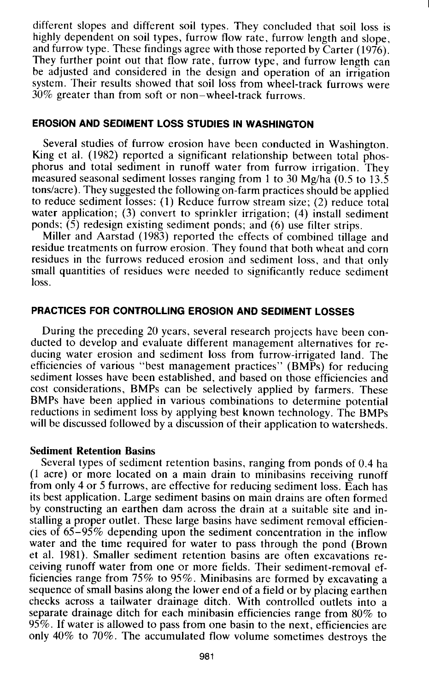different slopes and different soil types. They concluded that soil loss is highly dependent on soil types, furrow flow rate, furrow length and slope, and furrow type. These findings agree with those reported by Carter (1976). They further point out that flow rate, furrow type, and furrow length can be adjusted and considered in the design and operation of an irrigation system. Their results showed that soil loss from wheel-track furrows were 30% greater than from soft or non–wheel-track furrows.

# **EROSION AND SEDIMENT LOSS STUDIES IN WASHINGTON**

Several studies of furrow erosion have been conducted in Washington. King et al. (1982) reported a significant relationship between total phosphorus and total sediment in runoff water from furrow irrigation. They measured seasonal sediment losses ranging from 1 to 30 Mg/ha (0.5 to 13.5 tons/acre). They suggested the following on-farm practices should be applied to reduce sediment losses: (1) Reduce furrow stream size; (2) reduce total water application; (3) convert to sprinkler irrigation; (4) install sediment ponds;  $(5)$  redesign existing sediment ponds; and  $(6)$  use filter strips.

Miller and Aarstad (1983) reported the effects of combined tillage and residue treatments on furrow erosion. They found that both wheat and corn residues in the furrows reduced erosion and sediment loss, and that only small quantities of residues were needed to significantly reduce sediment loss.

# **PRACTICES FOR CONTROLLING EROSION AND SEDIMENT LOSSES**

During the preceding 20 years, several research projects have been conducted to develop and evaluate different management alternatives for reducing water erosion and sediment loss from furrow-irrigated land. The efficiencies of various "best management practices" (BMPs) for reducing sediment losses have been established, and based on those efficiencies and cost considerations, BMPs can be selectively applied by farmers. These BMPs have been applied in various combinations to determine potential reductions in sediment loss by applying best known technology. The BMPs will be discussed followed by a discussion of their application to watersheds.

### **Sediment Retention Basins**

Several types of sediment retention basins, ranging from ponds of 0.4 ha (1 acre) or more located on a main drain to minibasins receiving runoff from only 4 or 5 furrows, are effective for reducing sediment loss. Each has its best application. Large sediment basins on main drains are often formed by constructing an earthen dam across the drain at a suitable site and installing a proper outlet. These large basins have sediment removal efficiencies of 65-95% depending upon the sediment concentration in the inflow water and the time required for water to pass through the pond (Brown et al. 1981). Smaller sediment retention basins are often excavations receiving runoff water from one or more fields. Their sediment-removal efficiencies range from 75% to 95%. Minibasins are formed by excavating a sequence of small basins along the lower end of a field or by placing earthen checks across a tailwater drainage ditch. With controlled outlets into a separate drainage ditch for each minibasin efficiencies range from 80% to 95%. If water is allowed to pass from one basin to the next, efficiencies are only 40% to 70%. The **accumulated flow volume sometimes destroys the**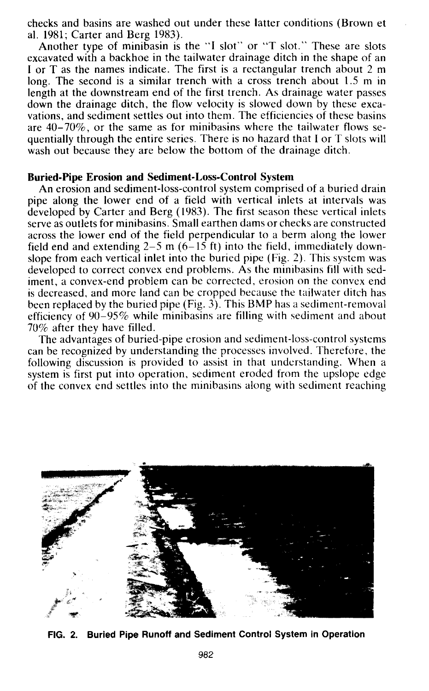checks and basins are washed out under these latter conditions (Brown et al. 1981; Carter and Berg 1983).

Another type of minibasin is the "I slot" or "T slot." These are slots excavated with a backhoe in the tailwater drainage ditch in the shape of an I or T as the names indicate. The first is a rectangular trench about 2 m long. The second is a similar trench with a cross trench about 1.5 m in length at the downstream end of the first trench. As drainage water passes down the drainage ditch, the flow velocity is slowed down by these excavations, and sediment settles out into them. The efficiencies of these basins are 40-70%, or the same as for minibasins where the tailwater flows sequentially through the entire series. There is no hazard that I or T slots will wash out because they are below the bottom of the drainage ditch.

### **Buried-Pipe Erosion and Sediment-Loss-Control System**

An erosion and sediment-loss-control system comprised of a buried drain pipe along the lower end of a field with vertical inlets at intervals was developed by Carter and Berg (1983). The first season these vertical inlets serve as outlets for minibasins. Small earthen dams or checks are constructed across the lower end of the field perpendicular to a berm along the lower field end and extending  $2-5$  m  $(6-15$  ft) into the field, immediately downslope from each vertical inlet into the buried pipe (Fig. 2). This system was developed to correct convex end problems. As the minibasins fill with sediment, a convex-end problem can be corrected, erosion on the convex end is decreased, and more land can be cropped because the tailwater ditch has been replaced by the buried pipe (Fig. 3). This BMP has a sediment-removal efficiency of 90-95% while minibasins are filling with sediment and about 70% after they have filled.

The advantages of buried-pipe erosion and sediment-loss-control systems can be recognized by understanding the processes involved. Therefore, the following discussion is provided to assist in that understanding. When a system is first put into operation, sediment eroded from the upslope edge of the convex end settles into the minibasins along with sediment reaching



**FIG. 2. Buried Pipe Runoff and Sediment Control System in Operation**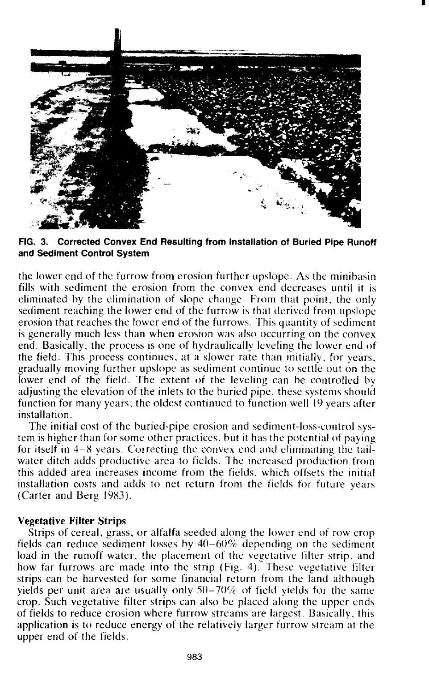

**FIG. 3. Corrected Convex End Resulting from Installation of Buried Pipe Runoff and Sediment Control System**

the lower end of the furrow from erosion further upslope. As the minibasin fills with sediment the erosion from the convex end decreases until it is eliminated by the elimination of slope change. From that point, the only sediment reaching the lower end of the furrow is that derived from upslope erosion that reaches the lower end of the furrows. This quantity of sediment is generally much less than when erosion was also occurring on the convex end. Basically, the process is one of hydraulically leveling the lower end of the field. This process continues, at a slower rate than initially, for years, gradually moving further upslope as sediment continue to settle out on the lower end of the field. The extent of the leveling can he controlled by adjusting the elevation of the inlets to the buried pipe. these systems should function for many years; the oldest continued to function well 19 years after installation.

The initial cost of the buried-pipe erosion and sediment-loss-control system is higher than for some other practices, but it has the potential of paying for itself in 4-8 years. Correcting the convex end and eliminating the tailwater ditch adds productive area to fields. The increased production from this added area increases income from the fields, which offsets the initial installation costs and adds to net return from the fields for future years (Carter and Berg 1983).

### **Vegetative Filter Strips**

Strips of cereal, grass, or alfalfa seeded along the lower end of row crop fields can reduce sediment losses by 40-60% depending on the sediment load in the runoff water, the placement of the vegetative filter strip, and how far furrows are made into the strip (Fig. 4). These vegetative filter strips can he harvested for some financial return from the land although yields per unit area are usually only  $50-70\%$  of field yields for the same crop. Such vegetative filter strips can also he placed along the upper ends of fields to reduce erosion where furrow streams are largest. Basically, this application is to reduce energy of the relatively larger furrow stream at the upper end of the fields.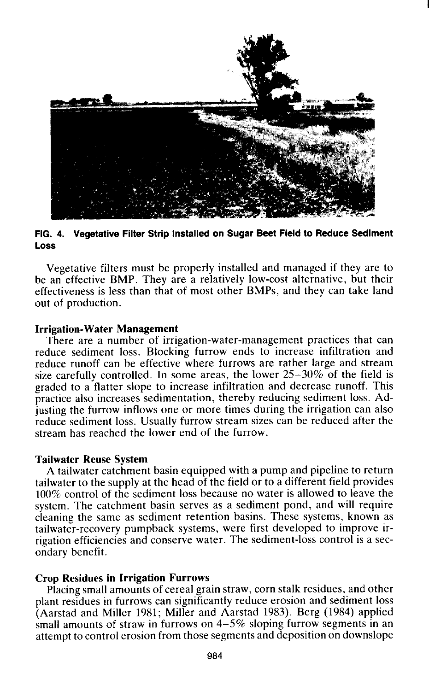

# **FIG. 4. Vegetative Filter Strip Installed on Sugar Beet Field to Reduce Sediment Loss**

Vegetative filters must be properly installed and managed if they are to be an effective BMP. They are a relatively low-cost alternative, but their effectiveness is less than that of most other BMPs, and they can take land out of production.

#### **Irrigation-Water Management**

There are a number of irrigation-water-management practices that can reduce sediment loss. Blocking furrow ends to increase infiltration and reduce runoff can be effective where furrows are rather large and stream size carefully controlled. In some areas, the lower  $25-30\%$  of the field is graded to a flatter slope to increase infiltration and decrease runoff. This practice also increases sedimentation, thereby reducing sediment loss. Adjusting the furrow inflows one or more times during the irrigation can also reduce sediment loss. Usually furrow stream sizes can be reduced after the stream has reached the lower end of the furrow.

#### **Tailwater Reuse System**

A tailwater catchment basin equipped with a pump and pipeline to return tailwater to the supply at the head of the field or to a different field provides 100% control of the sediment loss because no water is allowed to leave the system. The catchment basin serves as a sediment pond, and will require cleaning the same as sediment retention basins. These systems, known as tailwater-recovery pumpback systems, were first developed to improve irrigation efficiencies and conserve water. The sediment-loss control is a secondary benefit.

#### **Crop Residues in Irrigation Furrows**

Placing small amounts of cereal grain straw, corn stalk residues, and other plant residues in furrows can significantly reduce erosion and sediment loss (Aarstad and Miller 1981; Miller and Aarstad 1983). Berg (1984) applied small amounts of straw in furrows on 4-5% sloping furrow segments in an attempt to control erosion from those segments and deposition on downslope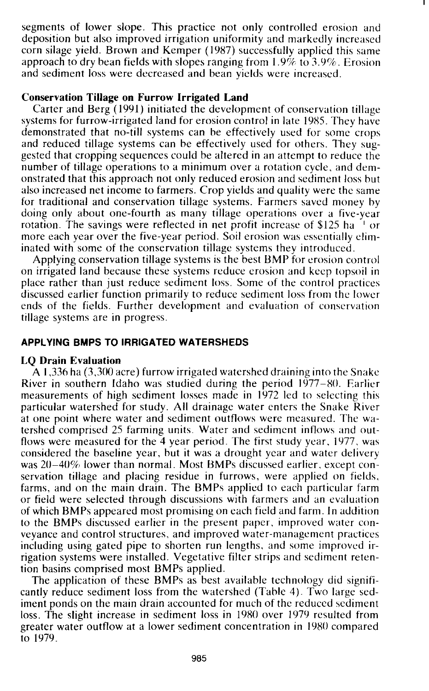segments of lower slope. This practice not only controlled erosion and deposition but also improved irrigation uniformity and markedly increased corn silage yield. Brown and Kemper (1987) successfully applied this same approach to dry bean fields with slopes ranging from 1.9% to 3.9%. Erosion and sediment loss were decreased and bean yields were increased.

### **Conservation Tillage on Furrow Irrigated Land**

Carter and Berg (1991) initiated the development of conservation tillage systems for furrow-irrigated land for erosion control in late 1985. They have demonstrated that no-till systems can be effectively used for some crops and reduced tillage systems can be effectively used for others. They suggested that cropping sequences could be altered in an attempt to reduce the number of tillage operations to a minimum over a rotation cycle, and demonstrated that this approach not only reduced erosion and sediment loss but also increased net income to farmers. Crop yields and quality were the same for traditional and conservation tillage systems. Farmers saved money by doing only about one-fourth as many tillage operations over a five-year rotation. The savings were reflected in net profit increase of \$125 ha <sup>1</sup> or more each year over the five-year period. Soil erosion was essentially eliminated with some of the conservation tillage systems they introduced.

Applying conservation tillage systems is the best BMP for erosion control on irrigated land because these systems reduce erosion and keep topsoil in place rather than just reduce sediment loss. Some of the control practices discussed earlier function primarily to reduce sediment loss from the lower ends of the fields. Further development and evaluation of conservation tillage systems are in progress.

### **APPLYING BMPS TO IRRIGATED WATERSHEDS**

### **LQ Drain Evaluation**

A 1,336 ha (3,300 acre) furrow irrigated watershed draining into the Snake River in southern Idaho was studied during the period 1977-80. Earlier measurements of high sediment losses made in 1972 led to selecting this particular watershed for study. All drainage water enters the Snake River at one point where water and sediment outflows were measured. The watershed comprised 25 farming units. Water and sediment inflows and outflows were measured for the 4 year period. The first study year, 1977, was considered the baseline year, but it was a drought year and water delivery was 20-40% lower than normal. Most BMPs discussed earlier, except conservation tillage and placing residue in furrows, were applied on fields, farms, and on the main drain. The BMPs applied to each particular farm or field were selected through discussions with farmers and an evaluation of which BMPs appeared most promising on each field and farm. In addition to the BMPs discussed earlier in the present paper, improved water conveyance and control structures, and improved water-management practices including using gated pipe to shorten run lengths, and some improved irrigation systems were installed. Vegetative filter strips and sediment retention basins comprised most BMPs applied.

The application of these BMPs as best available technology did significantly reduce sediment loss from the watershed (Table 4). Two large sediment ponds on the main drain accounted for much of the reduced sediment loss. The slight increase in sediment loss in 1980 over 1979 resulted from greater water outflow at a lower sediment concentration in 1980 compared to 1979.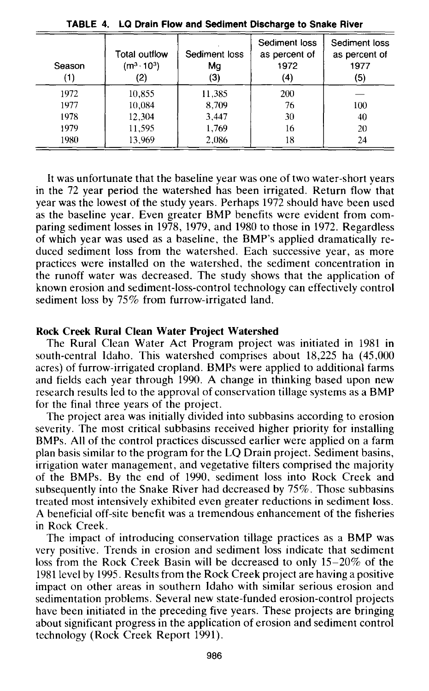| Season<br>(1) | <b>Total outflow</b><br>$(m^3 \tcdot 10^3)$<br>(2) | Sediment loss<br>Mg<br>(3) | Sediment loss<br>as percent of<br>1972<br>(4) | Sediment loss<br>as percent of<br>1977<br>(5) |
|---------------|----------------------------------------------------|----------------------------|-----------------------------------------------|-----------------------------------------------|
| 1972          | 10,855                                             | 11,385                     | 200                                           |                                               |
| 1977          | 10.084                                             | 8.709                      | 76                                            | 100                                           |
| 1978          | 12,304                                             | 3.447                      | 30                                            | 40                                            |
| 1979          | 11.595                                             | 1,769                      | 16                                            | 20                                            |
| 1980          | 13.969                                             | 2,086                      | 18                                            | 24                                            |

**TABLE 4. La Drain Flow and Sediment Discharge to Snake River**

It was unfortunate that the baseline year was one of two water-short years in the 72 year period the watershed has been irrigated. Return flow that year was the lowest of the study years. Perhaps 1972 should have been used as the baseline year. Even greater BMP benefits were evident from comparing sediment losses in 1978, 1979, and 1980 to those in 1972. Regardless of which year was used as a baseline, the BMP's applied dramatically reduced sediment loss from the watershed. Each successive year, as more practices were installed on the watershed, the sediment concentration in the runoff water was decreased. The study shows that the application of known erosion and sediment-loss-control technology can effectively control sediment loss by 75% from furrow-irrigated land.

# **Rock Creek Rural Clean Water Project Watershed**

The Rural Clean Water Act Program project was initiated in 1981 in south-central Idaho. This watershed comprises about 18,225 ha (45,000 acres) of furrow-irrigated cropland. BMPs were applied to additional farms and fields each year through 1990. A change in thinking based upon new research results led to the approval of conservation tillage systems as a BMP for the final three years of the project.

The project area was initially divided into subbasins according to erosion severity. The most critical subbasins received higher priority for installing BMPs. All of the control practices discussed earlier were applied on a farm plan basis similar to the program for the LQ Drain project. Sediment basins, irrigation water management, and vegetative filters comprised the majority of the BMPs. By the end of 1990, sediment loss into Rock Creek and subsequently into the Snake River had decreased by  $75\%$ . Those subbasins treated most intensively exhibited even greater reductions in sediment loss. A beneficial off-site benefit was a tremendous enhancement of the fisheries in Rock Creek.

The impact of introducing conservation tillage practices as a BMP was very positive. Trends in erosion and sediment loss indicate that sediment loss from the Rock Creek Basin will be decreased to only 15-20% of the 1981 level by 1995. Results from the Rock Creek project are having a positive impact on other areas in southern Idaho with similar serious erosion and sedimentation problems. Several new state-funded erosion-control projects have been initiated in the preceding five years. These projects are bringing about significant progress in the application of erosion and sediment control technology (Rock Creek Report 1991).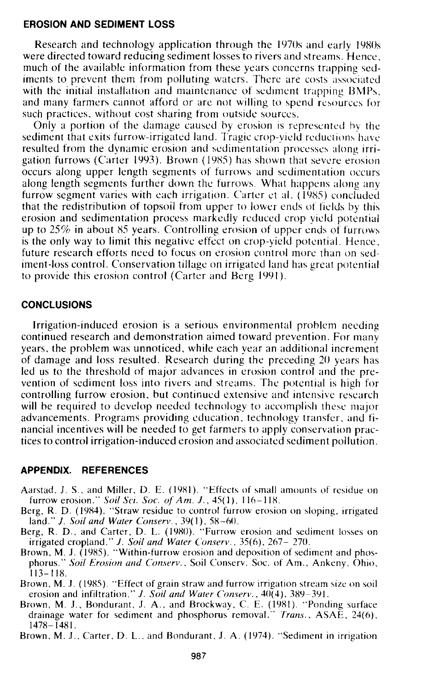#### **EROSION AND SEDIMENT LOSS**

Research and technology application through the 1970s and early 1980s were directed toward reducing sediment losses to rivers and streams. Hence, much of the available information from these years concerns trapping sediments to prevent them from polluting waters. There are costs associated with the initial installation and maintenance of sediment trapping BMPs. and many farmers cannot afford or are not willing to spend resources for such practices, without cost sharing from outside sources.

Only a portion of the damage caused by erosion is represented by the sediment that exits furrow-irrigated land. Tragic crop-yield reductions have resulted from the dynamic erosion and sedimentation processes along irrigation furrows (Carter 1993). Brown (1985) has shown that severe erosion occurs along upper length segments of furrows and sedimentation occurs along length segments further down the furrows. What happens along any furrow segment varies with each irrigation. Carter et al. (1985) concluded that the redistribution of topsoil from upper to lower ends of fields by this erosion and sedimentation process markedly reduced crop yield potential up to 25% in about 85 years. Controlling erosion of upper ends of furrows is the only way to limit this negative effect on crop-yield potential. Hence, future research efforts need to focus on erosion control more than on sediment-loss control. Conservation tillage on irrigated land has great potential to provide this erosion control (Carter and Berg 1991).

#### **CONCLUSIONS**

Irrigation-induced erosion is a serious environmental problem needing continued research and demonstration aimed toward prevention. For many years, the problem was unnoticed, while each year an additional increment of damage and loss resulted. Research during the preceding 20 years has led us to the threshold of major advances in erosion control and the prevention of sediment loss into rivers and streams. The potential is high for controlling furrow erosion, but continued extensive and intensive research will be required to develop needed technology to accomplish these major advancements. Programs providing education, technology transfer, and financial incentives will be needed to get farmers to apply conservation practices to control irrigation-induced erosion and associated sediment pollution.

### **APPENDIX. REFERENCES**

- Aarstad, J. S., and Miller, D. E. (1981). "Effects of small amounts of residue on furrow erosion." Soil Sci. Soc. of Am. J.,  $45(1)$ ,  $116-118$ .
- Berg, R. D. (1984). "Straw residue to control furrow erosion on sloping, irrigated land." J. Soil and Water Conserv., 39(1), 58-60.
- Berg, R. D., and Carter, D. L. (1980). "Furrow erosion and sediment losses on irrigated cropland." J. Soil and Water Conserv., 35(6), 267– 270.
- Brown, M. J. (1985). "Within-furrow erosion and deposition of sediment and phosphorus." Soil Erosion and Conserv., Soil Conserv. Soc. of Am., Ankeny, Ohio, 113-118.
- Brown, M. J. (1985). "Effect of grain straw and furrow irrigation stream size on soil erosion and infiltration." *J. Soil and Water Conserv.*,  $40(4)$ ,  $389-391$ .
- Brown, M. J., Bondurant, J. A., and Brockway, C. E. (1981). "Ponding surface drainage water for sediment and phosphorus removal." Trans., ASAE, 24(6), 1478-1481.
- Brown, M. J., Carter, D. L., and Bondurant, J. A. (1974). "Sediment in irrigation